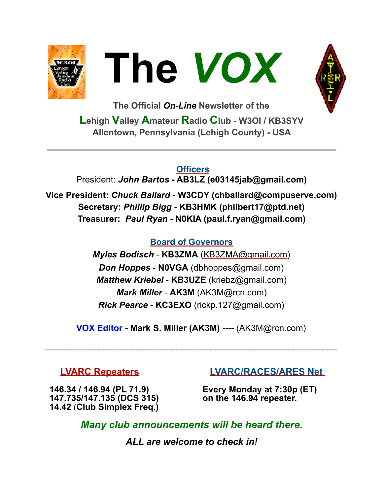





**The Official** *On-Line* **Newsletter of the Lehigh Valley Amateur Radio Club - W3OI / KB3SYV Allentown, Pennsylvania (Lehigh County) - USA** 

**\_\_\_\_\_\_\_\_\_\_\_\_\_\_\_\_\_\_\_\_\_\_\_\_\_\_\_\_\_\_\_\_\_\_\_\_\_\_\_\_\_\_\_\_\_\_\_\_\_\_\_\_**

**Officers**

President: *John Bartos* **- AB3LZ [\(e03145jab@gmail.com](mailto:e03145jab@gmail.com))** 

**Vice President:** *Chuck Ballard* **- W3CDY [\(chballard@compuserve.com](mailto:chballard@compuserve.com)) Secretary:** *Phillip Bigg* **- KB3HMK [\(philbert17@ptd.net](mailto:philbert17@ptd.net)) Treasurer:** *Paul Ryan* **- N0KIA [\(paul.f.ryan@gmail.com](mailto:paul.f.ryan@gmail.com))** 

### **Board of Governors**

*Myles Bodisch* - **KB3ZMA** [\(KB3ZMA@gmail.com](mailto:KB3ZMA@gmail.com)) *Don Hoppes* - **N0VGA** ([dbhoppes@gmail.com](mailto:dbhoppes@gmail.com)) *Matthew Kriebel* - **KB3UZE** [\(kriebz@gmail.com\)](mailto:kriebz@gmail.com) *Mark Miller* - **AK3M** ([AK3M@rcn.com\)](mailto:AK3M@rcn.com) *Rick Pearce* - **KC3EXO** ([rickp.127@gmail.com\)](mailto:rickp.127@gmail.com)

**VOX Editor - Mark S. Miller (AK3M) ----** (AK3M@rcn.com)

 $\mathcal{L}_\text{max}$  , and the contract of the contract of the contract of the contract of the contract of the contract of the contract of the contract of the contract of the contract of the contract of the contract of the contr

**LVARC Repeaters LVARC/RACES/ARES Net** 

 **147.735/147.135 (DCS 315) on the 146.94 repeater. 14.42** (**Club Simplex Freq.)** 

**146.34 / 146.94 (PL 71.9) Every Monday at 7:30p (ET)** 

*Many club announcements will be heard there.* 

*ALL are welcome to check in!*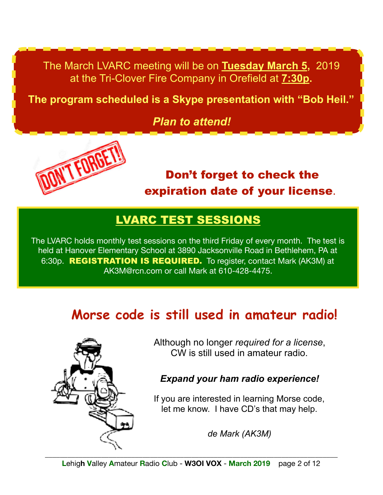**March EVANO MEEMIG WILL BE ON <u>TUESUAY MARCH 0</u>, 2014** The March LVARC meeting will be on **Tuesday March 5,** 2019 at the Tri-Clover Fire Company in Orefield at **7:30p.** 

**The program scheduled is a Skype presentation with "Bob Heil."** 

*Plan to attend!*



expiration date of your license.

## LVARC TEST SESSIONS

The LVARC holds monthly test sessions on the third Friday of every month. The test is held at Hanover Elementary School at 3890 Jacksonville Road in Bethlehem, PA at 6:30p. REGISTRATION IS REQUIRED. To register, contact Mark (AK3M) at [AK3M@rcn.com](mailto:AK3M@rcn.com) or call Mark at 610-428-4475.

# **Morse code is still used in amateur radio!**



Although no longer *required for a license*, CW is still used in amateur radio.

### *Expand your ham radio experience!*

If you are interested in learning Morse code, let me know. I have CD's that may help.

*de Mark (AK3M)*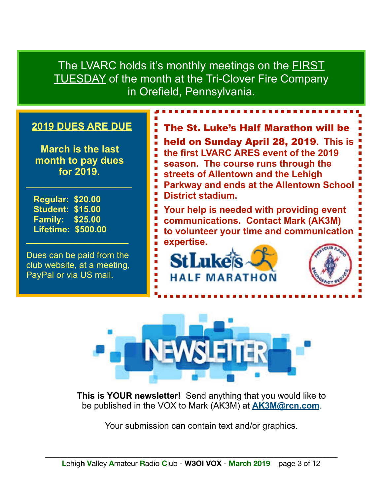The LVARC holds it's monthly meetings on the **FIRST** TUESDAY of the month at the Tri-Clover Fire Company in Orefield, Pennsylvania.

#### **2019 DUES ARE DUE**

**March is the last month to pay dues for 2019.** 

 $\mathcal{L}_\text{max}$  , where  $\mathcal{L}_\text{max}$  is the set of  $\mathcal{L}_\text{max}$ 

 **Regular: \$20.00 Student: \$15.00 Family: \$25.00 Lifetime: \$500.00** 

Dues can be paid from the club website, at a meeting, PayPal or via US mail.

**\_\_\_\_\_\_\_\_\_\_\_\_\_\_\_\_\_\_\_\_\_** 

The St. Luke's Half Marathon will be held on Sunday April 28, 2019**. This is**   $\mathbb{Z}$ **the first LVARC ARES event of the 2019**  Ľ **season. The course runs through the streets of Allentown and the Lehigh**  I.  $\overline{\phantom{a}}$ **Parkway and ends at the Allentown School**   $\overline{\phantom{a}}$ **District stadium.**   $\overline{\phantom{a}}$ **Your help is needed with providing event**  Ē. E **communications. Contact Mark (AK3M) to volunteer your time and communication**  E **expertise.** StLuké



**HALF MARATHON** 

**This is YOUR newsletter!** Send anything that you would like to be published in the VOX to Mark (AK3M) at **[AK3M@rcn.com](mailto:AK3M@rcn.com)**.

Your submission can contain text and/or graphics.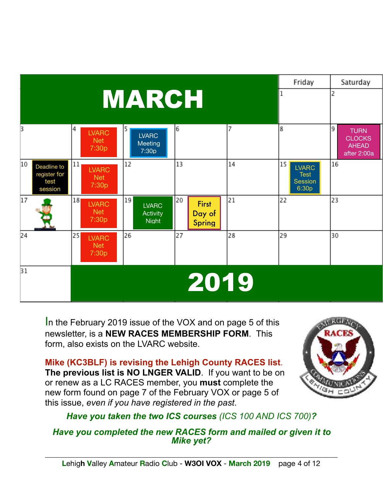

In the February 2019 issue of the VOX and on page 5 of this newsletter, is a **NEW RACES MEMBERSHIP FORM**. This form, also exists on the LVARC website.

**Mike (KC3BLF) is revising the Lehigh County RACES list**. **The previous list is NO LNGER VALID**. If you want to be on or renew as a LC RACES member, you **must** complete the new form found on page 7 of the February VOX or page 5 of this issue, *even if you have registered in the past*.



### *Have you taken the two ICS courses (ICS 100 AND ICS 700)?*

*Have you completed the new RACES form and mailed or given it to Mike yet?*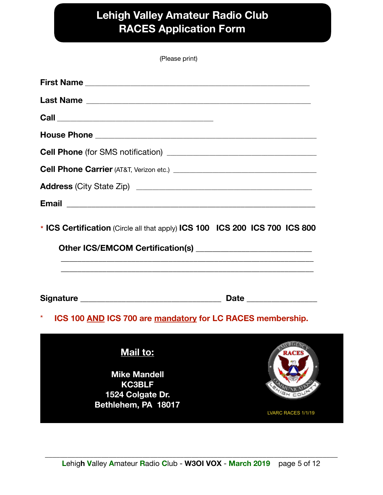## **Lehigh Valley Amateur Radio Club RACES Application Form**

(Please print)

| <b>House Phone</b> 2008 2009 2012 2022 2023 2024 2022 2022 2023 2024 2022 2023 2024 2022 2023 2024 2022 2023 2024 20                                                                              |                    |
|---------------------------------------------------------------------------------------------------------------------------------------------------------------------------------------------------|--------------------|
|                                                                                                                                                                                                   |                    |
|                                                                                                                                                                                                   |                    |
|                                                                                                                                                                                                   |                    |
|                                                                                                                                                                                                   |                    |
| * ICS Certification (Circle all that apply) ICS 100 ICS 200 ICS 700 ICS 800<br><u> 1999 - Jan James James James James James James James James James James James James James James James James</u> |                    |
|                                                                                                                                                                                                   |                    |
| $\star$<br>ICS 100 AND ICS 700 are mandatory for LC RACES membership.                                                                                                                             |                    |
| Mail to:<br><b>Mike Mandell</b><br><b>KC3BLF</b><br>1524 Colgate Dr.<br>Bethlehem, PA 18017                                                                                                       | LVARC RACES 1/1/19 |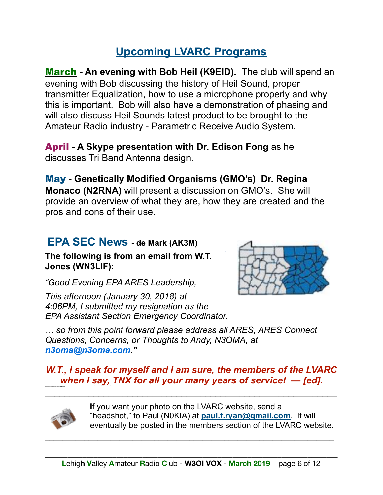## **Upcoming LVARC Programs**

March **- An evening with Bob Heil (K9EID).** The club will spend an evening with Bob discussing the history of Heil Sound, proper transmitter Equalization, how to use a microphone properly and why this is important. Bob will also have a demonstration of phasing and will also discuss Heil Sounds latest product to be brought to the Amateur Radio industry - Parametric Receive Audio System.

April *-* **A Skype presentation with Dr. Edison Fong** as he discusses Tri Band Antenna design.

May **- Genetically Modified Organisms (GMO's) Dr. Regina Monaco (N2RNA)** will present a discussion on GMO's. She will provide an overview of what they are, how they are created and the pros and cons of their use.

**\_\_\_\_\_\_\_\_\_\_\_\_\_\_\_\_\_\_\_\_\_\_\_\_\_\_\_\_\_\_\_\_\_\_\_\_\_\_\_\_\_\_\_\_\_\_\_\_\_\_\_\_\_\_\_\_**

### **EPA SEC News - de Mark (AK3M)**

**The following is from an email from W.T. Jones (WN3LIF):** 

*"Good Evening EPA ARES Leadership,* 

*This afternoon (January 30, 2018) at 4:06PM, I submitted my resignation as the EPA Assistant Section Emergency Coordinator.* 

*… so from this point forward please address all ARES, ARES Connect Questions, Concerns, or Thoughts to Andy, N3OMA, at [n3oma@n3oma.com.](mailto:n3oma@n3oma.com)"* 

*W.T., I speak for myself and I am sure, the members of the LVARC when I say, TNX for all your many years of service! — [ed].*If you are not receive the VOX via email, you must see that you must send your must send

 $\mathcal{L}_\text{G}$  , and the contribution of the contribution of the contribution of the contribution of the contribution of the contribution of the contribution of the contribution of the contribution of the contribution of t



a current and valid email address to Mark (AK3M) at [AK3M@rcn.com](mailto:AK3M@rcn.com).

 **I**f you want your photo on the LVARC website, send a "headshot," to Paul (N0KIA) at **[paul.f.ryan@gmail.com](mailto:paul.f.ryan@gmail.com)**. It will eventually be posted in the members section of the LVARC website.

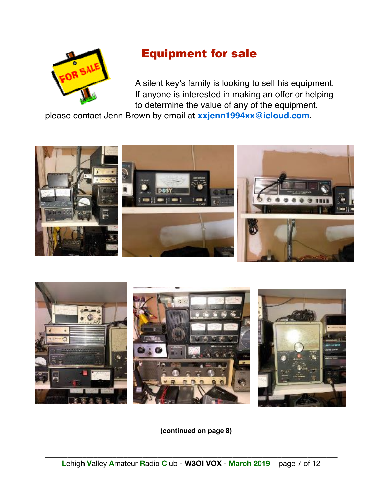

## Equipment for sale

 A silent key's family is looking to sell his equipment. If anyone is interested in making an offer or helping to determine the value of any of the equipment,

please contact Jenn Brown by email a**t [xxjenn1994xx@icloud.com.](mailto:xxjenn1994xx@icloud.com)**





**(continued on page 8)**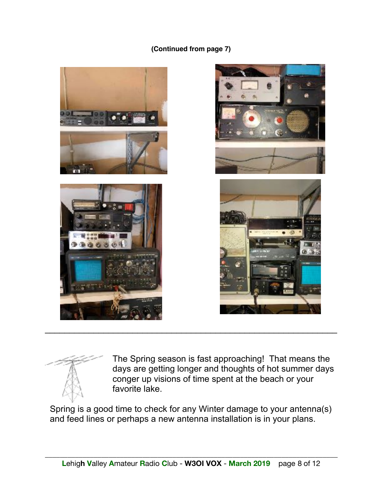#### **(Continued from page 7)**







 The Spring season is fast approaching! That means the days are getting longer and thoughts of hot summer days conger up visions of time spent at the beach or your favorite lake.

 Spring is a good time to check for any Winter damage to your antenna(s) and feed lines or perhaps a new antenna installation is in your plans.

 $\mathcal{L}_\text{max}$  , and the contract of the contract of the contract of the contract of the contract of the contract of the contract of the contract of the contract of the contract of the contract of the contract of the contr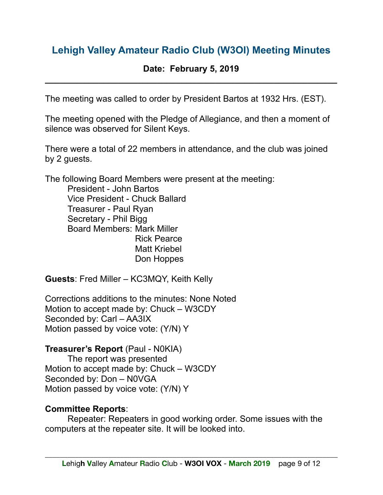### **Lehigh Valley Amateur Radio Club (W3OI) Meeting Minutes**

#### **Date: February 5, 2019 \_\_\_\_\_\_\_\_\_\_\_\_\_\_\_\_\_\_\_\_\_\_\_\_\_\_\_\_\_\_\_\_\_\_\_\_\_\_\_\_\_\_\_\_\_\_\_\_\_\_\_\_\_\_\_\_\_\_\_\_**

The meeting was called to order by President Bartos at 1932 Hrs. (EST).

The meeting opened with the Pledge of Allegiance, and then a moment of silence was observed for Silent Keys.

There were a total of 22 members in attendance, and the club was joined by 2 guests.

The following Board Members were present at the meeting:

 President - John Bartos Vice President - Chuck Ballard Treasurer - Paul Ryan Secretary - Phil Bigg Board Members: Mark Miller Rick Pearce Matt Kriebel Don Hoppes

**Guests**: Fred Miller – KC3MQY, Keith Kelly

Corrections additions to the minutes: None Noted Motion to accept made by: Chuck – W3CDY Seconded by: Carl – AA3IX Motion passed by voice vote: (Y/N) Y

#### **Treasurer's Report** (Paul - N0KIA)

 The report was presented Motion to accept made by: Chuck – W3CDY Seconded by: Don – N0VGA Motion passed by voice vote: (Y/N) Y

#### **Committee Reports**:

 Repeater: Repeaters in good working order. Some issues with the computers at the repeater site. It will be looked into.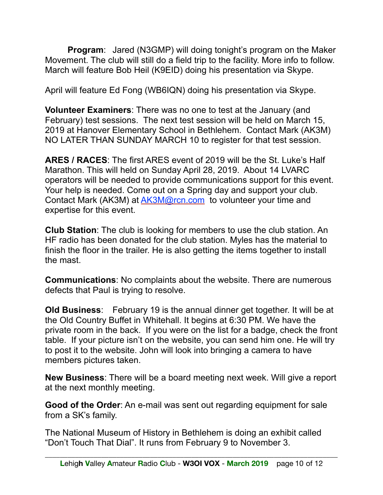**Program**: Jared (N3GMP) will doing tonight's program on the Maker Movement. The club will still do a field trip to the facility. More info to follow. March will feature Bob Heil (K9EID) doing his presentation via Skype.

April will feature Ed Fong (WB6IQN) doing his presentation via Skype.

**Volunteer Examiners**: There was no one to test at the January (and February) test sessions. The next test session will be held on March 15, 2019 at Hanover Elementary School in Bethlehem. Contact Mark (AK3M) NO LATER THAN SUNDAY MARCH 10 to register for that test session.

**ARES / RACES**: The first ARES event of 2019 will be the St. Luke's Half Marathon. This will held on Sunday April 28, 2019. About 14 LVARC operators will be needed to provide communications support for this event. Your help is needed. Come out on a Spring day and support your club. Contact Mark (AK3M) at [AK3M@rcn.com](mailto:AK3M@rcn.com) to volunteer your time and expertise for this event.

**Club Station**: The club is looking for members to use the club station. An HF radio has been donated for the club station. Myles has the material to finish the floor in the trailer. He is also getting the items together to install the mast.

**Communications**: No complaints about the website. There are numerous defects that Paul is trying to resolve.

**Old Business**: February 19 is the annual dinner get together. It will be at the Old Country Buffet in Whitehall. It begins at 6:30 PM. We have the private room in the back. If you were on the list for a badge, check the front table. If your picture isn't on the website, you can send him one. He will try to post it to the website. John will look into bringing a camera to have members pictures taken.

**New Business**: There will be a board meeting next week. Will give a report at the next monthly meeting.

**Good of the Order**: An e-mail was sent out regarding equipment for sale from a SK's family.

The National Museum of History in Bethlehem is doing an exhibit called "Don't Touch That Dial". It runs from February 9 to November 3.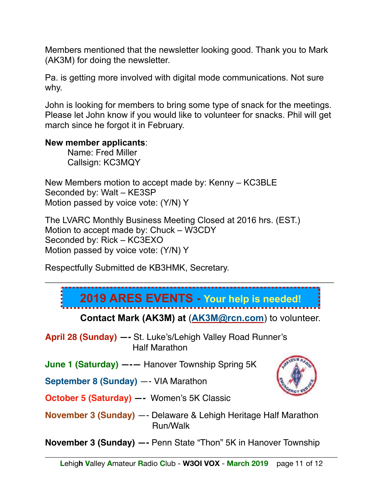Members mentioned that the newsletter looking good. Thank you to Mark (AK3M) for doing the newsletter.

Pa. is getting more involved with digital mode communications. Not sure why.

John is looking for members to bring some type of snack for the meetings. Please let John know if you would like to volunteer for snacks. Phil will get march since he forgot it in February.

#### **New member applicants**:

 Name: Fred Miller Callsign: KC3MQY

New Members motion to accept made by: Kenny – KC3BLE Seconded by: Walt – KE3SP Motion passed by voice vote: (Y/N) Y

The LVARC Monthly Business Meeting Closed at 2016 hrs. (EST.) Motion to accept made by: Chuck – W3CDY Seconded by: Rick – KC3EXO Motion passed by voice vote: (Y/N) Y

Respectfully Submitted de KB3HMK, Secretary.



 $\overline{\phantom{a}}$  , and the contract of the contract of the contract of the contract of the contract of the contract of the contract of the contract of the contract of the contract of the contract of the contract of the contrac